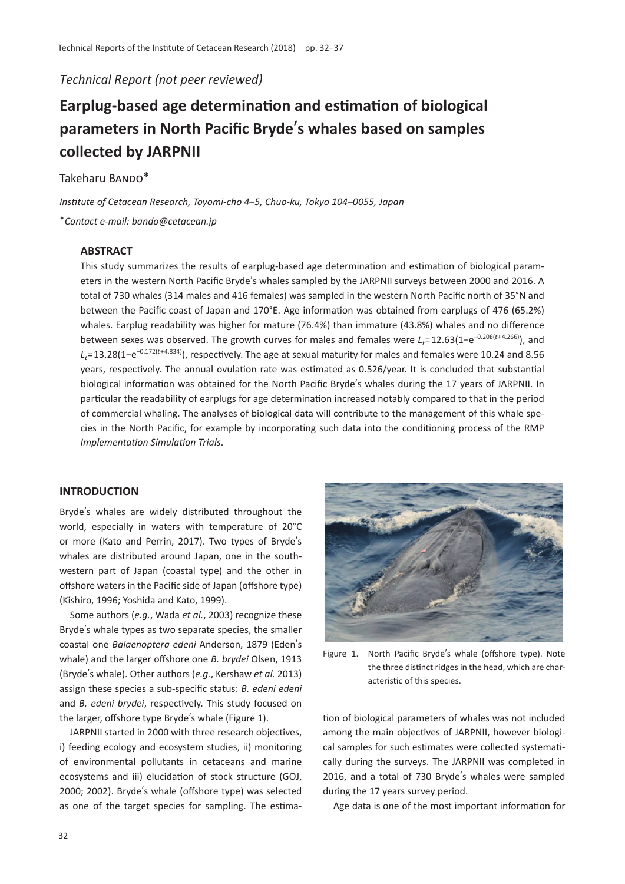*Technical Report (not peer reviewed)*

# **Earplug-based age determination and estimation of biological parameters in North Pacific Bryde**'**s whales based on samples collected by JARPNII**

Takeharu BANDO\*

*Institute of Cetacean Research, Toyomi-cho 4*–*5, Chuo-ku, Tokyo 104*–*0055, Japan* \**Contact e-mail: bando@cetacean.jp*

# **ABSTRACT**

This study summarizes the results of earplug-based age determination and estimation of biological parameters in the western North Pacific Bryde's whales sampled by the JARPNII surveys between 2000 and 2016. A total of 730 whales (314 males and 416 females) was sampled in the western North Pacific north of 35°N and between the Pacific coast of Japan and 170°E. Age information was obtained from earplugs of 476 (65.2%) whales. Earplug readability was higher for mature (76.4%) than immature (43.8%) whales and no difference between sexes was observed. The growth curves for males and females were L<sub>t</sub>=12.63(1−e<sup>-0.208(t+4.266)</sup>), and *Lt*=13.28(1−e−0.172(*<sup>t</sup>*+4.834)), respectively. The age at sexual maturity for males and females were 10.24 and 8.56 years, respectively. The annual ovulation rate was estimated as 0.526/year. It is concluded that substantial biological information was obtained for the North Pacific Bryde's whales during the 17 years of JARPNII. In particular the readability of earplugs for age determination increased notably compared to that in the period of commercial whaling. The analyses of biological data will contribute to the management of this whale species in the North Pacific, for example by incorporating such data into the conditioning process of the RMP *Implementation Simulation Trials*.

# **INTRODUCTION**

Bryde's whales are widely distributed throughout the world, especially in waters with temperature of 20°C or more (Kato and Perrin, 2017). Two types of Bryde's whales are distributed around Japan, one in the southwestern part of Japan (coastal type) and the other in offshore waters in the Pacific side of Japan (offshore type) (Kishiro, 1996; Yoshida and Kato, 1999).

Some authors (*e.g.*, Wada *et al.*, 2003) recognize these Bryde's whale types as two separate species, the smaller coastal one *Balaenoptera edeni* Anderson, 1879 (Eden's whale) and the larger offshore one *B. brydei* Olsen, 1913 (Bryde's whale). Other authors (*e.g.*, Kershaw *et al.* 2013) assign these species a sub-specific status: *B. edeni edeni* and *B. edeni brydei*, respectively. This study focused on the larger, offshore type Bryde's whale (Figure 1).

JARPNII started in 2000 with three research objectives, i) feeding ecology and ecosystem studies, ii) monitoring of environmental pollutants in cetaceans and marine ecosystems and iii) elucidation of stock structure (GOJ, 2000; 2002). Bryde's whale (offshore type) was selected as one of the target species for sampling. The estima-



Figure 1. North Pacific Bryde's whale (offshore type). Note the three distinct ridges in the head, which are characteristic of this species.

tion of biological parameters of whales was not included among the main objectives of JARPNII, however biological samples for such estimates were collected systematically during the surveys. The JARPNII was completed in 2016, and a total of 730 Bryde's whales were sampled during the 17 years survey period.

Age data is one of the most important information for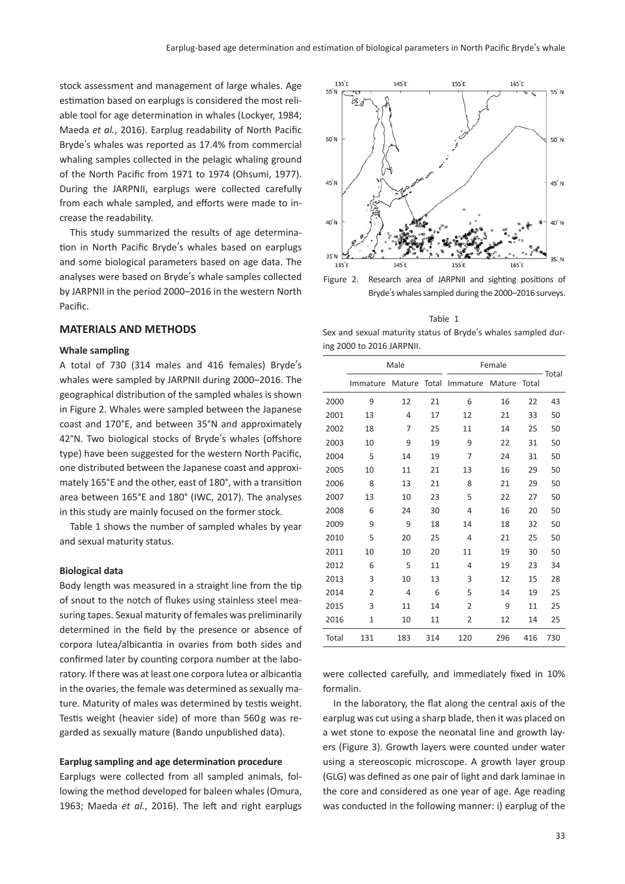stock assessment and management of large whales. Age estimation based on earplugs is considered the most reliable tool for age determination in whales (Lockyer, 1984; Maeda *et al.*, 2016). Earplug readability of North Pacific Bryde's whales was reported as 17.4% from commercial whaling samples collected in the pelagic whaling ground of the North Pacific from 1971 to 1974 (Ohsumi, 1977). During the JARPNII, earplugs were collected carefully from each whale sampled, and efforts were made to increase the readability.

This study summarized the results of age determination in North Pacific Bryde's whales based on earplugs and some biological parameters based on age data. The analyses were based on Bryde's whale samples collected by JARPNII in the period 2000–2016 in the western North Pacific.

#### **MATERIALS AND METHODS**

#### **Whale sampling**

A total of 730 (314 males and 416 females) Bryde's whales were sampled by JARPNII during 2000–2016. The geographical distribution of the sampled whales is shown in Figure 2. Whales were sampled between the Japanese coast and 170°E, and between 35°N and approximately 42°N. Two biological stocks of Bryde's whales (offshore type) have been suggested for the western North Pacific, one distributed between the Japanese coast and approximately 165°E and the other, east of 180°, with a transition area between 165°E and 180° (IWC, 2017). The analyses in this study are mainly focused on the former stock.

Table 1 shows the number of sampled whales by year and sexual maturity status.

#### **Biological data**

Body length was measured in a straight line from the tip of snout to the notch of flukes using stainless steel measuring tapes. Sexual maturity of females was preliminarily determined in the field by the presence or absence of corpora lutea/albicantia in ovaries from both sides and confirmed later by counting corpora number at the laboratory. If there was at least one corpora lutea or albicantia in the ovaries, the female was determined as sexually mature. Maturity of males was determined by testis weight. Testis weight (heavier side) of more than 560g was regarded as sexually mature (Bando unpublished data).

#### **Earplug sampling and age determination procedure**

Earplugs were collected from all sampled animals, following the method developed for baleen whales (Omura, 1963; Maeda *et al.*, 2016). The left and right earplugs



Bryde's whales sampled during the 2000–2016 surveys.

Table 1 Sex and sexual maturity status of Bryde's whales sampled during 2000 to 2016 JARPNII.

|       |                | Male   |       | Female         |        |       |       |
|-------|----------------|--------|-------|----------------|--------|-------|-------|
|       | Immature       | Mature | Total | Immature       | Mature | Total | Total |
| 2000  | 9              | 12     | 21    | 6              | 16     | 22    | 43    |
| 2001  | 13             | 4      | 17    | 12             | 21     | 33    | 50    |
| 2002  | 18             | 7      | 25    | 11             | 14     | 25    | 50    |
| 2003  | 10             | 9      | 19    | 9              | 22     | 31    | 50    |
| 2004  | 5              | 14     | 19    | 7              | 24     | 31    | 50    |
| 2005  | 10             | 11     | 21    | 13             | 16     | 29    | 50    |
| 2006  | 8              | 13     | 21    | 8              | 21     | 29    | 50    |
| 2007  | 13             | 10     | 23    | 5              | 22     | 27    | 50    |
| 2008  | 6              | 24     | 30    | 4              | 16     | 20    | 50    |
| 2009  | 9              | 9      | 18    | 14             | 18     | 32    | 50    |
| 2010  | 5              | 20     | 25    | 4              | 21     | 25    | 50    |
| 2011  | 10             | 10     | 20    | 11             | 19     | 30    | 50    |
| 2012  | 6              | 5      | 11    | 4              | 19     | 23    | 34    |
| 2013  | 3              | 10     | 13    | 3              | 12     | 15    | 28    |
| 2014  | $\overline{2}$ | 4      | 6     | 5              | 14     | 19    | 25    |
| 2015  | 3              | 11     | 14    | 2              | 9      | 11    | 25    |
| 2016  | 1              | 10     | 11    | $\overline{2}$ | 12     | 14    | 25    |
| Total | 131            | 183    | 314   | 120            | 296    | 416   | 730   |

were collected carefully, and immediately fixed in 10% formalin.

In the laboratory, the flat along the central axis of the earplug was cut using a sharp blade, then it was placed on a wet stone to expose the neonatal line and growth layers (Figure 3). Growth layers were counted under water using a stereoscopic microscope. A growth layer group (GLG) was defined as one pair of light and dark laminae in the core and considered as one year of age. Age reading was conducted in the following manner: i) earplug of the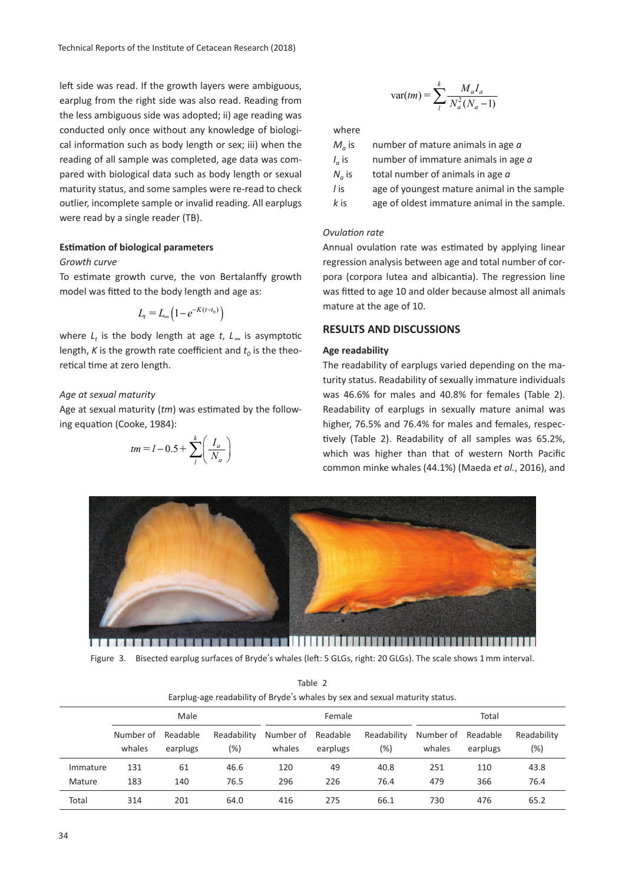left side was read. If the growth layers were ambiguous, earplug from the right side was also read. Reading from the less ambiguous side was adopted; ii) age reading was conducted only once without any knowledge of biological information such as body length or sex; iii) when the reading of all sample was completed, age data was compared with biological data such as body length or sexual maturity status, and some samples were re-read to check outlier, incomplete sample or invalid reading. All earplugs were read by a single reader (TB).

# **Estimation of biological parameters**

#### *Growth curve*

To estimate growth curve, the von Bertalanffy growth model was fitted to the body length and age as:

$$
L_t = L_{\infty} \left( 1 - e^{-K(t - t_0)} \right)
$$

where *L*<sub>t</sub> is the body length at age *t*, *L*<sub>∞</sub> is asymptotic length, *K* is the growth rate coefficient and  $t<sub>0</sub>$  is the theoretical time at zero length.

# *Age at sexual maturity*

Age at sexual maturity (*tm*) was estimated by the following equation (Cooke, 1984):

$$
tm = l - 0.5 + \sum_{l}^{k} \left(\frac{I_a}{N_a}\right)
$$

$$
\text{var}(tm) = \sum_{l}^{k} \frac{M_a I_a}{N_a^2 (N_a - 1)}
$$

where

| $M_a$ is        | number of mature animals in age a            |
|-----------------|----------------------------------------------|
| $I_{\alpha}$ is | number of immature animals in age $a$        |
| $N_a$ is        | total number of animals in age a             |
| / is            | age of youngest mature animal in the sample  |
| k is            | age of oldest immature animal in the sample. |

#### *Ovulation rate*

Annual ovulation rate was estimated by applying linear regression analysis between age and total number of corpora (corpora lutea and albicantia). The regression line was fitted to age 10 and older because almost all animals mature at the age of 10.

## **RESULTS AND DISCUSSIONS**

## **Age readability**

The readability of earplugs varied depending on the maturity status. Readability of sexually immature individuals was 46.6% for males and 40.8% for females (Table 2). Readability of earplugs in sexually mature animal was higher, 76.5% and 76.4% for males and females, respectively (Table 2). Readability of all samples was 65.2%, which was higher than that of western North Pacific common minke whales (44.1%) (Maeda *et al.*, 2016), and



Figure 3. Bisected earplug surfaces of Bryde's whales (left: 5 GLGs, right: 20 GLGs). The scale shows 1 mm interval.

|          | Earplug-age readability of Bryde's whales by sex and sexual maturity status. |                      |                    |                     |                      |                       |                     |                      |                    |
|----------|------------------------------------------------------------------------------|----------------------|--------------------|---------------------|----------------------|-----------------------|---------------------|----------------------|--------------------|
|          | Male                                                                         |                      |                    | Female              |                      |                       | Total               |                      |                    |
|          | Number of<br>whales                                                          | Readable<br>earplugs | Readability<br>(%) | Number of<br>whales | Readable<br>earplugs | Readability<br>$(\%)$ | Number of<br>whales | Readable<br>earplugs | Readability<br>(%) |
| Immature | 131                                                                          | 61                   | 46.6               | 120                 | 49                   | 40.8                  | 251                 | 110                  | 43.8               |
| Mature   | 183                                                                          | 140                  | 76.5               | 296                 | 226                  | 76.4                  | 479                 | 366                  | 76.4               |
| Total    | 314                                                                          | 201                  | 64.0               | 416                 | 275                  | 66.1                  | 730                 | 476                  | 65.2               |

Table 2 Earplug-age readability of Bryde's whales by sex and sexual maturity status.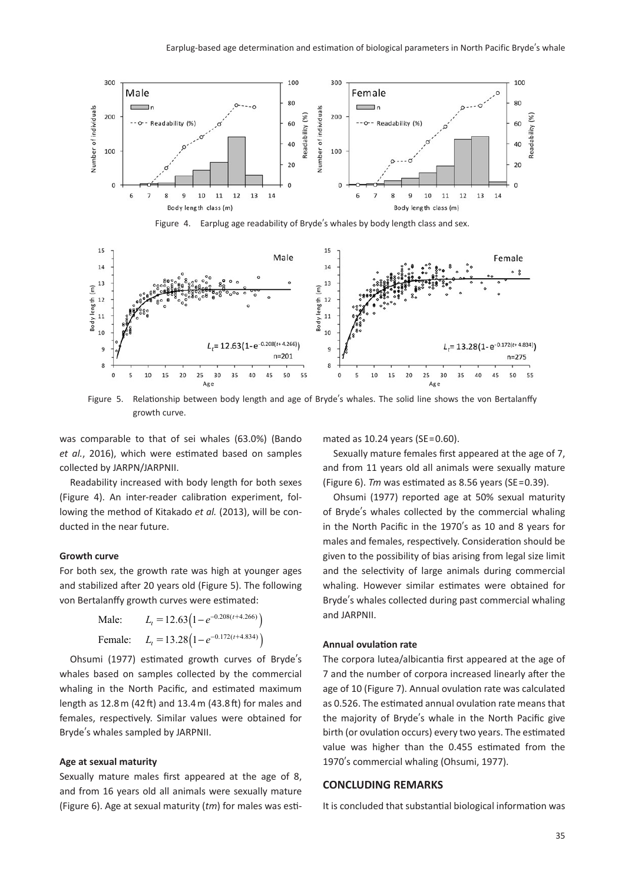

Figure 4. Earplug age readability of Bryde's whales by body length class and sex.



Figure 5. Relationship between body length and age of Bryde's whales. The solid line shows the von Bertalanffy growth curve.

was comparable to that of sei whales (63.0%) (Bando *et al.*, 2016), which were estimated based on samples collected by JARPN/JARPNII.

Readability increased with body length for both sexes (Figure 4). An inter-reader calibration experiment, following the method of Kitakado *et al.* (2013), will be conducted in the near future.

#### **Growth curve**

For both sex, the growth rate was high at younger ages and stabilized after 20 years old (Figure 5). The following von Bertalanffy growth curves were estimated:

| Male: | $L_t = 12.63(1-e^{-0.208(t+4.266)})$             |
|-------|--------------------------------------------------|
|       | Female: $L_t = 13.28(1 - e^{-0.172(t + 4.834)})$ |

Ohsumi (1977) estimated growth curves of Bryde's whales based on samples collected by the commercial whaling in the North Pacific, and estimated maximum length as 12.8 m (42 ft) and 13.4 m (43.8 ft) for males and females, respectively. Similar values were obtained for Bryde's whales sampled by JARPNII.

#### **Age at sexual maturity**

Sexually mature males first appeared at the age of 8, and from 16 years old all animals were sexually mature (Figure 6). Age at sexual maturity (*tm*) for males was estimated as 10.24 years (SE=0.60).

Sexually mature females first appeared at the age of 7, and from 11 years old all animals were sexually mature (Figure 6). *Tm* was estimated as 8.56 years (SE=0.39).

Ohsumi (1977) reported age at 50% sexual maturity of Bryde's whales collected by the commercial whaling in the North Pacific in the 1970's as 10 and 8 years for males and females, respectively. Consideration should be given to the possibility of bias arising from legal size limit and the selectivity of large animals during commercial whaling. However similar estimates were obtained for Bryde's whales collected during past commercial whaling and JARPNII.

#### **Annual ovulation rate**

The corpora lutea/albicantia first appeared at the age of 7 and the number of corpora increased linearly after the age of 10 (Figure 7). Annual ovulation rate was calculated as 0.526. The estimated annual ovulation rate means that the majority of Bryde's whale in the North Pacific give birth (or ovulation occurs) every two years. The estimated value was higher than the 0.455 estimated from the 1970's commercial whaling (Ohsumi, 1977).

## **CONCLUDING REMARKS**

It is concluded that substantial biological information was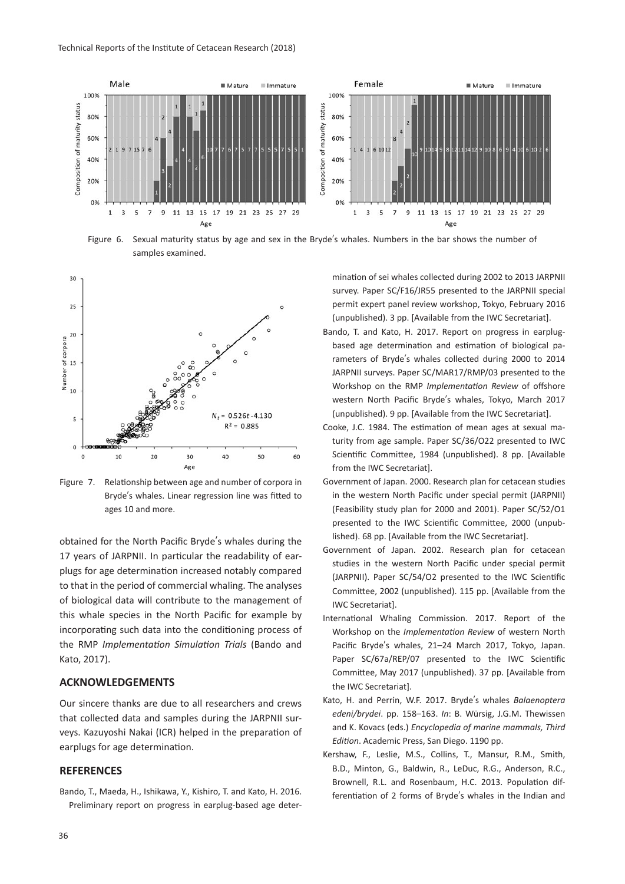

Figure 6. Sexual maturity status by age and sex in the Bryde's whales. Numbers in the bar shows the number of samples examined.



Figure 7. Relationship between age and number of corpora in Bryde's whales. Linear regression line was fitted to ages 10 and more.

obtained for the North Pacific Bryde's whales during the 17 years of JARPNII. In particular the readability of earplugs for age determination increased notably compared to that in the period of commercial whaling. The analyses of biological data will contribute to the management of this whale species in the North Pacific for example by incorporating such data into the conditioning process of the RMP *Implementation Simulation Trials* (Bando and Kato, 2017).

## **ACKNOWLEDGEMENTS**

Our sincere thanks are due to all researchers and crews that collected data and samples during the JARPNII surveys. Kazuyoshi Nakai (ICR) helped in the preparation of earplugs for age determination.

#### **REFERENCES**

Bando, T., Maeda, H., Ishikawa, Y., Kishiro, T. and Kato, H. 2016. Preliminary report on progress in earplug-based age deter-

mination of sei whales collected during 2002 to 2013 JARPNII survey. Paper SC/F16/JR55 presented to the JARPNII special permit expert panel review workshop, Tokyo, February 2016 (unpublished). 3 pp. [Available from the IWC Secretariat].

- Bando, T. and Kato, H. 2017. Report on progress in earplugbased age determination and estimation of biological parameters of Bryde's whales collected during 2000 to 2014 JARPNII surveys. Paper SC/MAR17/RMP/03 presented to the Workshop on the RMP *Implementation Review* of offshore western North Pacific Bryde's whales, Tokyo, March 2017 (unpublished). 9 pp. [Available from the IWC Secretariat].
- Cooke, J.C. 1984. The estimation of mean ages at sexual maturity from age sample. Paper SC/36/O22 presented to IWC Scientific Committee, 1984 (unpublished). 8 pp. [Available from the IWC Secretariat].
- Government of Japan. 2000. Research plan for cetacean studies in the western North Pacific under special permit (JARPNII) (Feasibility study plan for 2000 and 2001). Paper SC/52/O1 presented to the IWC Scientific Committee, 2000 (unpublished). 68 pp. [Available from the IWC Secretariat].
- Government of Japan. 2002. Research plan for cetacean studies in the western North Pacific under special permit (JARPNII). Paper SC/54/O2 presented to the IWC Scientific Committee, 2002 (unpublished). 115 pp. [Available from the IWC Secretariat].
- International Whaling Commission. 2017. Report of the Workshop on the *Implementation Review* of western North Pacific Bryde's whales, 21–24 March 2017, Tokyo, Japan. Paper SC/67a/REP/07 presented to the IWC Scientific Committee, May 2017 (unpublished). 37 pp. [Available from the IWC Secretariat].
- Kato, H. and Perrin, W.F. 2017. Bryde's whales *Balaenoptera edeni/brydei*. pp. 158–163. *In*: B. Würsig, J.G.M. Thewissen and K. Kovacs (eds.) *Encyclopedia of marine mammals, Third Edition*. Academic Press, San Diego. 1190 pp.
- Kershaw, F., Leslie, M.S., Collins, T., Mansur, R.M., Smith, B.D., Minton, G., Baldwin, R., LeDuc, R.G., Anderson, R.C., Brownell, R.L. and Rosenbaum, H.C. 2013. Population differentiation of 2 forms of Bryde's whales in the Indian and